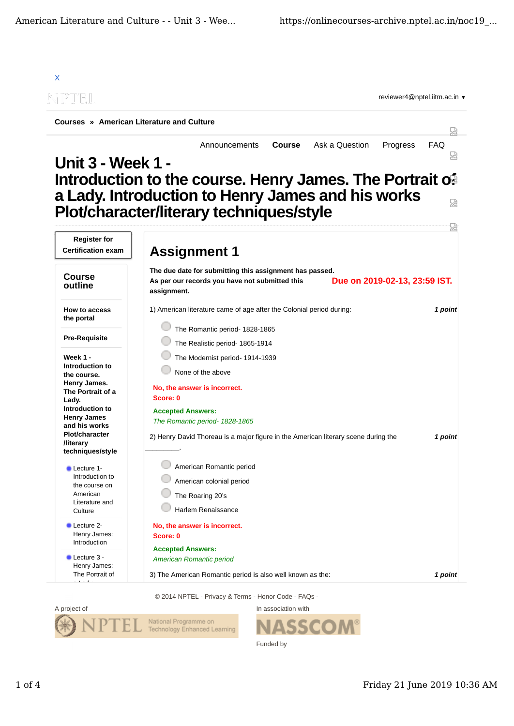

© 2014 NPTEL - Privacy & Terms - Honor Code - FAQs -



In association with

Funded by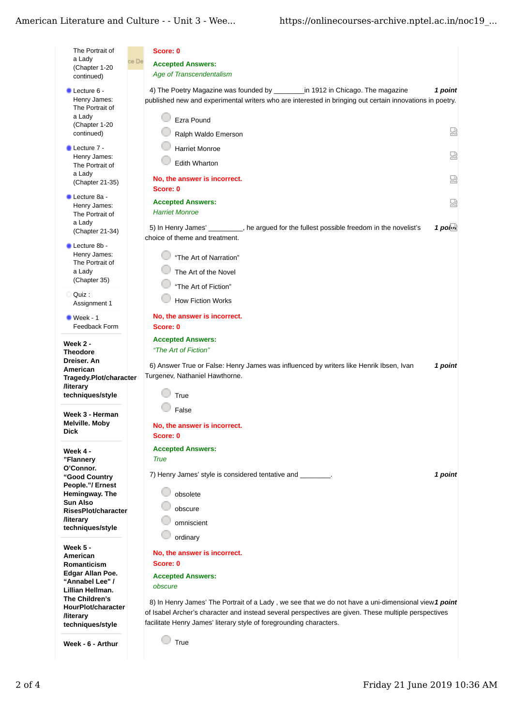## American Literature and Culture - - Unit 3 - Wee...

| The Portrait of                                                                         | Score: 0                                                                                                                                                                                                                                           |  |
|-----------------------------------------------------------------------------------------|----------------------------------------------------------------------------------------------------------------------------------------------------------------------------------------------------------------------------------------------------|--|
| a Lady<br>(Chapter 1-20                                                                 | ce De<br><b>Accepted Answers:</b>                                                                                                                                                                                                                  |  |
| continued)                                                                              | <b>Age of Transcendentalism</b>                                                                                                                                                                                                                    |  |
| Lecture 6 -<br>Henry James:<br>The Portrait of<br>a Lady<br>(Chapter 1-20<br>continued) | 4) The Poetry Magazine was founded by ___________in 1912 in Chicago. The magazine<br>1 point<br>published new and experimental writers who are interested in bringing out certain innovations in poetry.<br>Ezra Pound<br>Ы<br>Ralph Waldo Emerson |  |
| Lecture 7 -                                                                             | <b>Harriet Monroe</b>                                                                                                                                                                                                                              |  |
| Henry James:<br>The Portrait of<br>a Lady                                               | Ы<br><b>Edith Wharton</b>                                                                                                                                                                                                                          |  |
| (Chapter 21-35)                                                                         | No, the answer is incorrect.<br>요<br>Score: 0                                                                                                                                                                                                      |  |
| Lecture 8a -<br>Henry James:<br>The Portrait of<br>a Lady                               | <b>Accepted Answers:</b><br>요<br><b>Harriet Monroe</b><br>$1$ poi $\alpha$<br>5) In Henry James' ________, he argued for the fullest possible freedom in the novelist's                                                                            |  |
| (Chapter 21-34)                                                                         | choice of theme and treatment.                                                                                                                                                                                                                     |  |
| Lecture 8b -<br>Henry James:<br>The Portrait of                                         | "The Art of Narration"                                                                                                                                                                                                                             |  |
| a Lady<br>(Chapter 35)                                                                  | The Art of the Novel                                                                                                                                                                                                                               |  |
| Quiz :<br>c                                                                             | "The Art of Fiction"                                                                                                                                                                                                                               |  |
| Assignment 1                                                                            | <b>How Fiction Works</b>                                                                                                                                                                                                                           |  |
| Week - 1<br>Feedback Form                                                               | No, the answer is incorrect.<br>Score: 0                                                                                                                                                                                                           |  |
|                                                                                         | <b>Accepted Answers:</b>                                                                                                                                                                                                                           |  |
| Week 2 -<br><b>Theodore</b><br>Dreiser, An<br>American                                  | "The Art of Fiction"<br>6) Answer True or False: Henry James was influenced by writers like Henrik Ibsen, Ivan<br>1 point                                                                                                                          |  |
| Tragedy.Plot/character<br><b>/literary</b>                                              | Turgenev, Nathaniel Hawthorne.                                                                                                                                                                                                                     |  |
| techniques/style                                                                        | True                                                                                                                                                                                                                                               |  |
| Week 3 - Herman<br>Melville. Moby                                                       | False<br>No, the answer is incorrect.                                                                                                                                                                                                              |  |
| <b>Dick</b>                                                                             | Score: 0                                                                                                                                                                                                                                           |  |
| Week 4 -                                                                                | <b>Accepted Answers:</b>                                                                                                                                                                                                                           |  |
| "Flannery<br>O'Connor.                                                                  | <b>True</b>                                                                                                                                                                                                                                        |  |
| "Good Country<br>People."/ Ernest                                                       | 7) Henry James' style is considered tentative and<br>1 point                                                                                                                                                                                       |  |
| Hemingway. The                                                                          | obsolete                                                                                                                                                                                                                                           |  |
| <b>Sun Also</b><br>RisesPlot/character                                                  | obscure                                                                                                                                                                                                                                            |  |
| <b>/literary</b><br>techniques/style                                                    | omniscient                                                                                                                                                                                                                                         |  |
|                                                                                         | ordinary                                                                                                                                                                                                                                           |  |
| <b>Week 5 -</b><br>American                                                             | No, the answer is incorrect.                                                                                                                                                                                                                       |  |
| Romanticism<br>Edgar Allan Poe.                                                         | Score: 0                                                                                                                                                                                                                                           |  |
| "Annabel Lee" /                                                                         | <b>Accepted Answers:</b><br>obscure                                                                                                                                                                                                                |  |
| Lillian Hellman.<br>The Children's                                                      | 8) In Henry James' The Portrait of a Lady, we see that we do not have a uni-dimensional view 1 point                                                                                                                                               |  |
| HourPlot/character<br><b>/literary</b>                                                  | of Isabel Archer's character and instead several perspectives are given. These multiple perspectives                                                                                                                                               |  |
| techniques/style                                                                        | facilitate Henry James' literary style of foregrounding characters.                                                                                                                                                                                |  |
|                                                                                         |                                                                                                                                                                                                                                                    |  |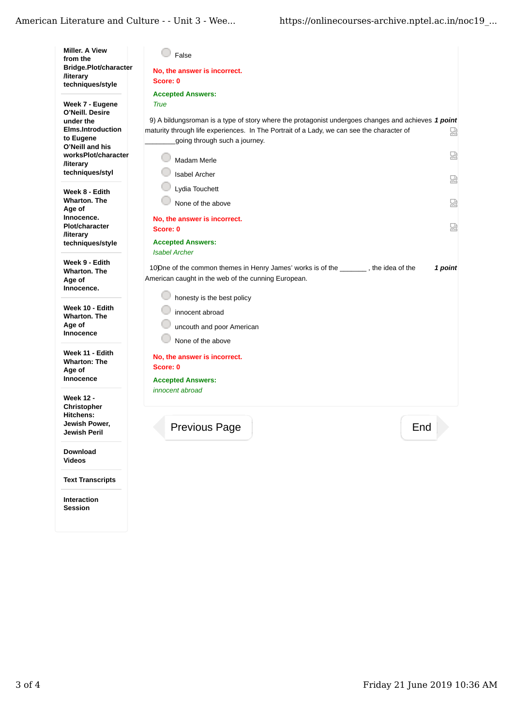| <b>Miller. A View</b><br>from the<br>Bridge.Plot/character<br><b>/literary</b>           | False<br>No, the answer is incorrect.                                                                                                                                                                                            |   |
|------------------------------------------------------------------------------------------|----------------------------------------------------------------------------------------------------------------------------------------------------------------------------------------------------------------------------------|---|
| techniques/style                                                                         | Score: 0                                                                                                                                                                                                                         |   |
| Week 7 - Eugene                                                                          | <b>Accepted Answers:</b><br><b>True</b>                                                                                                                                                                                          |   |
| O'Neill. Desire<br>under the<br><b>Elms.Introduction</b><br>to Eugene<br>O'Neill and his | 9) A bildungsroman is a type of story where the protagonist undergoes changes and achieves 1 point<br>maturity through life experiences. In The Portrait of a Lady, we can see the character of<br>going through such a journey. | 닯 |
| worksPlot/character<br><b>/literary</b>                                                  | Madam Merle                                                                                                                                                                                                                      | 요 |
| techniques/styl                                                                          | <b>Isabel Archer</b>                                                                                                                                                                                                             | 嵤 |
| Week 8 - Edith<br>Wharton. The<br>Age of                                                 | Lydia Touchett<br>None of the above                                                                                                                                                                                              | 嵤 |
| Innocence.<br><b>Plot/character</b><br><b>/literary</b>                                  | No, the answer is incorrect.<br>Score: 0                                                                                                                                                                                         | ৣ |
| techniques/style                                                                         | <b>Accepted Answers:</b><br><b>Isabel Archer</b>                                                                                                                                                                                 |   |
| Week 9 - Edith<br>Wharton. The<br>Age of<br>Innocence.                                   | 1 point<br>100 Dne of the common themes in Henry James' works is of the state the idea of the<br>American caught in the web of the cunning European.                                                                             |   |
| Week 10 - Edith<br><b>Wharton, The</b><br>Age of<br>Innocence                            | honesty is the best policy<br>innocent abroad<br>uncouth and poor American<br>None of the above                                                                                                                                  |   |
| Week 11 - Edith<br><b>Wharton: The</b><br>Age of<br>Innocence                            | No, the answer is incorrect.<br>Score: 0<br><b>Accepted Answers:</b>                                                                                                                                                             |   |
| <b>Week 12 -</b><br><b>Christopher</b><br>Hitchens:<br>Jewish Power,<br>Jewish Peril     | <i>innocent abroad</i><br><b>Previous Page</b><br>End                                                                                                                                                                            |   |
| <b>Download</b><br><b>Videos</b>                                                         |                                                                                                                                                                                                                                  |   |

**Text Transcripts**

**Interaction Session**